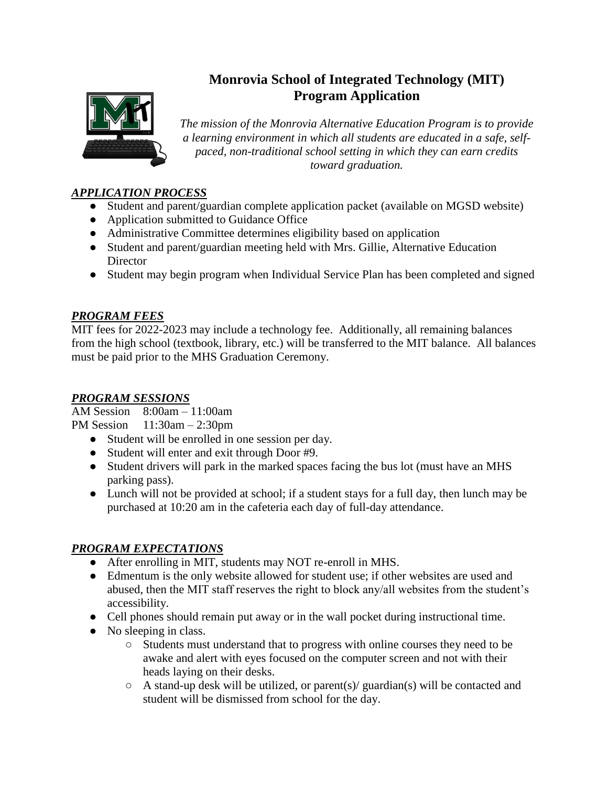

# **Monrovia School of Integrated Technology (MIT) Program Application**

*The mission of the Monrovia Alternative Education Program is to provide a learning environment in which all students are educated in a safe, selfpaced, non-traditional school setting in which they can earn credits toward graduation.* 

# *APPLICATION PROCESS*

- Student and parent/guardian complete application packet (available on MGSD website)
- Application submitted to Guidance Office
- Administrative Committee determines eligibility based on application
- Student and parent/guardian meeting held with Mrs. Gillie, Alternative Education **Director**
- Student may begin program when Individual Service Plan has been completed and signed

## *PROGRAM FEES*

MIT fees for 2022-2023 may include a technology fee. Additionally, all remaining balances from the high school (textbook, library, etc.) will be transferred to the MIT balance. All balances must be paid prior to the MHS Graduation Ceremony.

## *PROGRAM SESSIONS*

AM Session 8:00am – 11:00am

PM Session 11:30am – 2:30pm

- Student will be enrolled in one session per day.
- Student will enter and exit through Door #9.
- Student drivers will park in the marked spaces facing the bus lot (must have an MHS parking pass).
- Lunch will not be provided at school; if a student stays for a full day, then lunch may be purchased at 10:20 am in the cafeteria each day of full-day attendance.

# *PROGRAM EXPECTATIONS*

- After enrolling in MIT, students may NOT re-enroll in MHS.
- Edmentum is the only website allowed for student use; if other websites are used and abused, then the MIT staff reserves the right to block any/all websites from the student's accessibility.
- Cell phones should remain put away or in the wall pocket during instructional time.
- No sleeping in class.
	- Students must understand that to progress with online courses they need to be awake and alert with eyes focused on the computer screen and not with their heads laying on their desks.
	- $\circ$  A stand-up desk will be utilized, or parent(s)/ guardian(s) will be contacted and student will be dismissed from school for the day.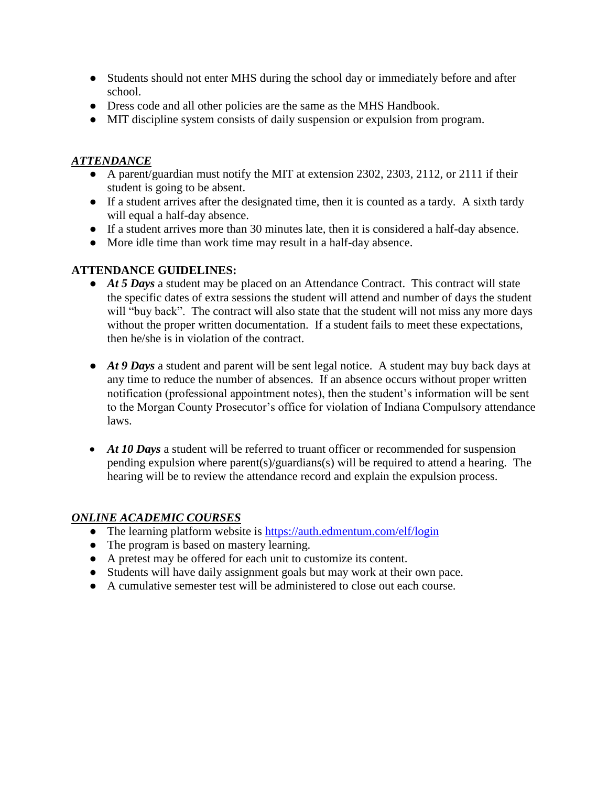- Students should not enter MHS during the school day or immediately before and after school.
- Dress code and all other policies are the same as the MHS Handbook.
- MIT discipline system consists of daily suspension or expulsion from program.

## *ATTENDANCE*

- A parent/guardian must notify the MIT at extension 2302, 2303, 2112, or 2111 if their student is going to be absent.
- If a student arrives after the designated time, then it is counted as a tardy. A sixth tardy will equal a half-day absence.
- If a student arrives more than 30 minutes late, then it is considered a half-day absence.
- More idle time than work time may result in a half-day absence.

## **ATTENDANCE GUIDELINES:**

- *At 5 Days* a student may be placed on an Attendance Contract. This contract will state the specific dates of extra sessions the student will attend and number of days the student will "buy back". The contract will also state that the student will not miss any more days without the proper written documentation. If a student fails to meet these expectations, then he/she is in violation of the contract.
- *At 9 Days* a student and parent will be sent legal notice. A student may buy back days at any time to reduce the number of absences. If an absence occurs without proper written notification (professional appointment notes), then the student's information will be sent to the Morgan County Prosecutor's office for violation of Indiana Compulsory attendance laws.
- At 10 Days a student will be referred to truant officer or recommended for suspension pending expulsion where parent(s)/guardians(s) will be required to attend a hearing. The hearing will be to review the attendance record and explain the expulsion process.

### *ONLINE ACADEMIC COURSES*

- The learning platform website is<https://auth.edmentum.com/elf/login>
- The program is based on mastery learning.
- A pretest may be offered for each unit to customize its content.
- Students will have daily assignment goals but may work at their own pace.
- A cumulative semester test will be administered to close out each course.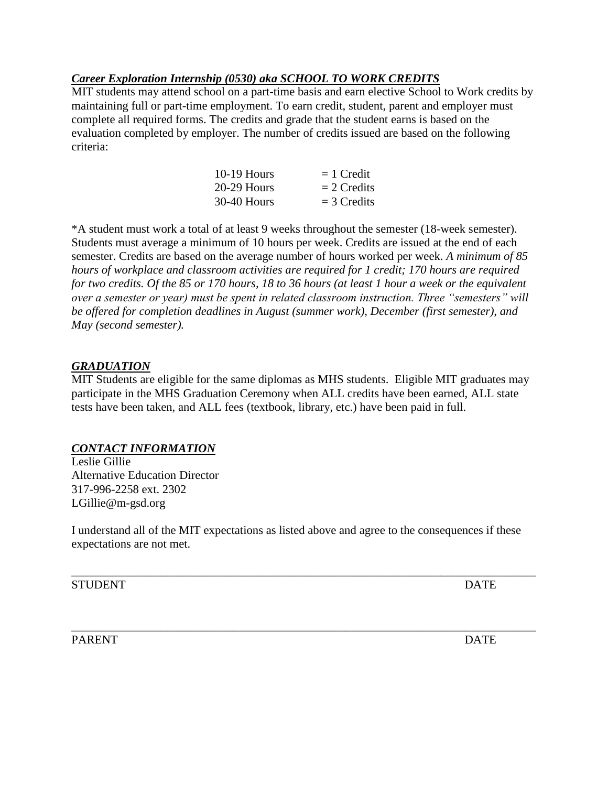## *Career Exploration Internship (0530) aka SCHOOL TO WORK CREDITS*

MIT students may attend school on a part-time basis and earn elective School to Work credits by maintaining full or part-time employment. To earn credit, student, parent and employer must complete all required forms. The credits and grade that the student earns is based on the evaluation completed by employer. The number of credits issued are based on the following criteria:

| $10-19$ Hours | $= 1$ Credit  |
|---------------|---------------|
| 20-29 Hours   | $= 2$ Credits |
| 30-40 Hours   | $=$ 3 Credits |

\*A student must work a total of at least 9 weeks throughout the semester (18-week semester). Students must average a minimum of 10 hours per week. Credits are issued at the end of each semester. Credits are based on the average number of hours worked per week. *A minimum of 85 hours of workplace and classroom activities are required for 1 credit; 170 hours are required for two credits. Of the 85 or 170 hours, 18 to 36 hours (at least 1 hour a week or the equivalent over a semester or year) must be spent in related classroom instruction. Three "semesters" will be offered for completion deadlines in August (summer work), December (first semester), and May (second semester).*

#### *GRADUATION*

MIT Students are eligible for the same diplomas as MHS students. Eligible MIT graduates may participate in the MHS Graduation Ceremony when ALL credits have been earned, ALL state tests have been taken, and ALL fees (textbook, library, etc.) have been paid in full.

### *CONTACT INFORMATION*

Leslie Gillie Alternative Education Director 317-996-2258 ext. 2302 LGillie@m-gsd.org

I understand all of the MIT expectations as listed above and agree to the consequences if these expectations are not met.

\_\_\_\_\_\_\_\_\_\_\_\_\_\_\_\_\_\_\_\_\_\_\_\_\_\_\_\_\_\_\_\_\_\_\_\_\_\_\_\_\_\_\_\_\_\_\_\_\_\_\_\_\_\_\_\_\_\_\_\_\_\_\_\_\_\_\_\_\_\_\_\_\_\_\_\_\_\_

\_\_\_\_\_\_\_\_\_\_\_\_\_\_\_\_\_\_\_\_\_\_\_\_\_\_\_\_\_\_\_\_\_\_\_\_\_\_\_\_\_\_\_\_\_\_\_\_\_\_\_\_\_\_\_\_\_\_\_\_\_\_\_\_\_\_\_\_\_\_\_\_\_\_\_\_\_\_

STUDENT DATE

PARENT DATE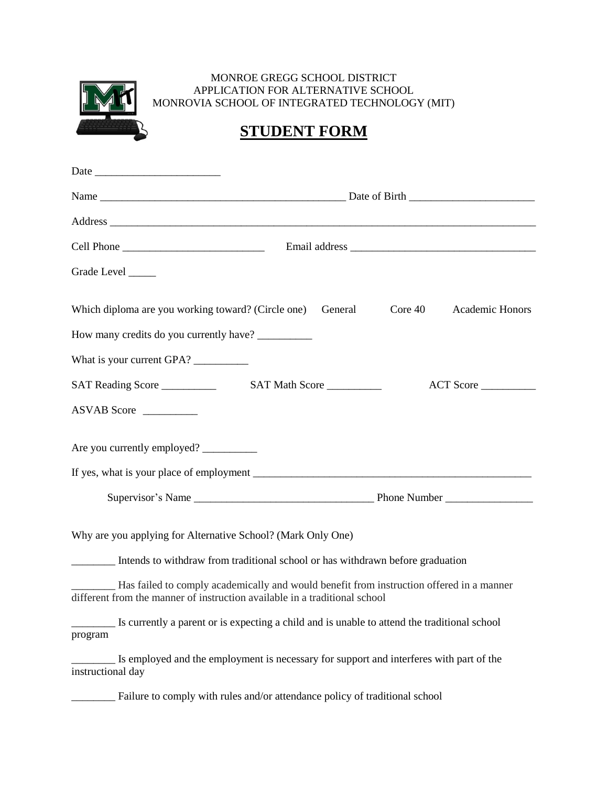

#### MONROE GREGG SCHOOL DISTRICT APPLICATION FOR ALTERNATIVE SCHOOL MONROVIA SCHOOL OF INTEGRATED TECHNOLOGY (MIT)

# **STUDENT FORM**

| Grade Level ______ |                                                                                                                                                                        |
|--------------------|------------------------------------------------------------------------------------------------------------------------------------------------------------------------|
|                    | Which diploma are you working toward? (Circle one)<br>Academic Honors<br>General<br>Core 40                                                                            |
|                    | How many credits do you currently have?                                                                                                                                |
|                    | What is your current GPA?                                                                                                                                              |
|                    | ACT Score                                                                                                                                                              |
|                    | ASVAB Score                                                                                                                                                            |
|                    | Are you currently employed?                                                                                                                                            |
|                    |                                                                                                                                                                        |
|                    | Why are you applying for Alternative School? (Mark Only One)<br>Intends to withdraw from traditional school or has withdrawn before graduation                         |
|                    | Has failed to comply academically and would benefit from instruction offered in a manner<br>different from the manner of instruction available in a traditional school |
| program            | Is currently a parent or is expecting a child and is unable to attend the traditional school                                                                           |
| instructional day  | Is employed and the employment is necessary for support and interferes with part of the                                                                                |
|                    | Failure to comply with rules and/or attendance policy of traditional school                                                                                            |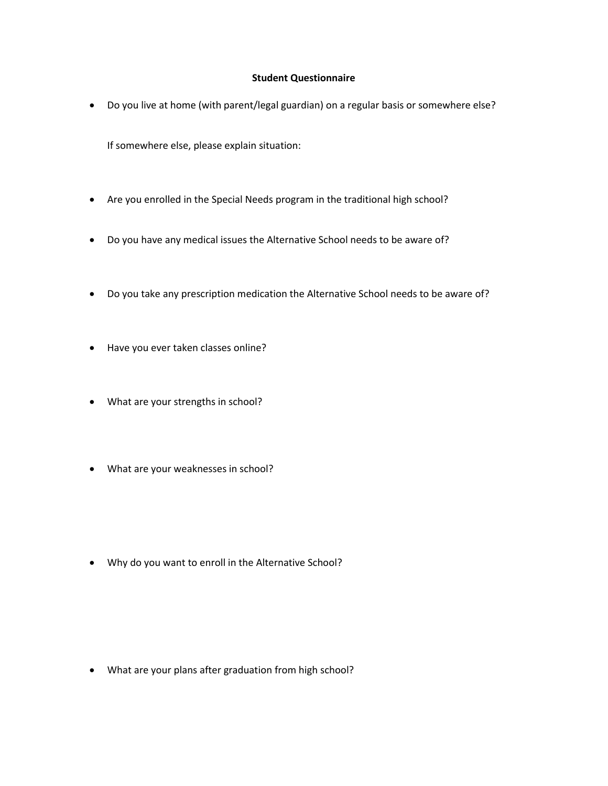#### **Student Questionnaire**

Do you live at home (with parent/legal guardian) on a regular basis or somewhere else?

If somewhere else, please explain situation:

- Are you enrolled in the Special Needs program in the traditional high school?
- Do you have any medical issues the Alternative School needs to be aware of?
- Do you take any prescription medication the Alternative School needs to be aware of?
- Have you ever taken classes online?
- What are your strengths in school?
- What are your weaknesses in school?

Why do you want to enroll in the Alternative School?

What are your plans after graduation from high school?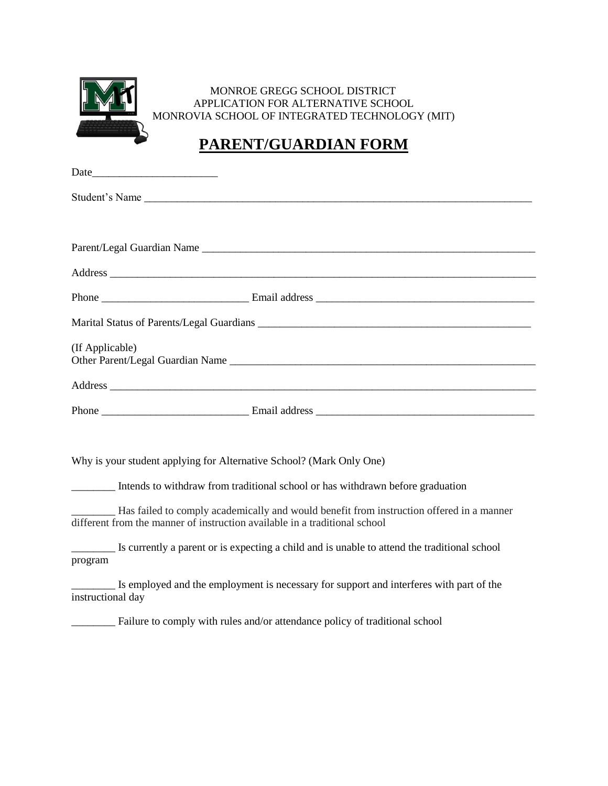

#### MONROE GREGG SCHOOL DISTRICT APPLICATION FOR ALTERNATIVE SCHOOL MONROVIA SCHOOL OF INTEGRATED TECHNOLOGY (MIT)

# **PARENT/GUARDIAN FORM**

| Student's Name                                                                                                                                                           |
|--------------------------------------------------------------------------------------------------------------------------------------------------------------------------|
|                                                                                                                                                                          |
|                                                                                                                                                                          |
|                                                                                                                                                                          |
|                                                                                                                                                                          |
|                                                                                                                                                                          |
| (If Applicable)                                                                                                                                                          |
|                                                                                                                                                                          |
|                                                                                                                                                                          |
|                                                                                                                                                                          |
| Why is your student applying for Alternative School? (Mark Only One)                                                                                                     |
| _________ Intends to withdraw from traditional school or has withdrawn before graduation                                                                                 |
| - Has failed to comply academically and would benefit from instruction offered in a manner<br>different from the manner of instruction available in a traditional school |
| Is currently a parent or is expecting a child and is unable to attend the traditional school<br>program                                                                  |
| Is employed and the employment is necessary for support and interferes with part of the<br>instructional day                                                             |
| Failure to comply with rules and/or attendance policy of traditional school                                                                                              |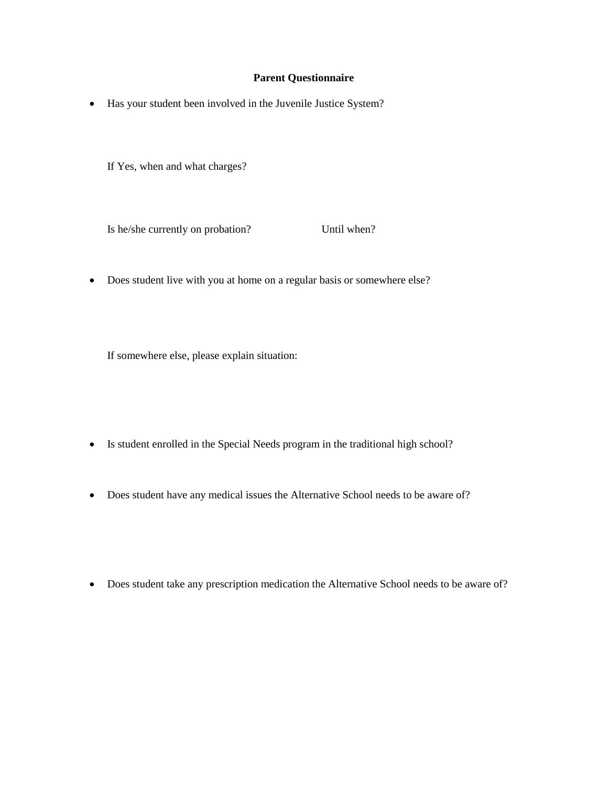#### **Parent Questionnaire**

Has your student been involved in the Juvenile Justice System?

If Yes, when and what charges?

Is he/she currently on probation? Until when?

Does student live with you at home on a regular basis or somewhere else?

If somewhere else, please explain situation:

- Is student enrolled in the Special Needs program in the traditional high school?
- Does student have any medical issues the Alternative School needs to be aware of?
- Does student take any prescription medication the Alternative School needs to be aware of?